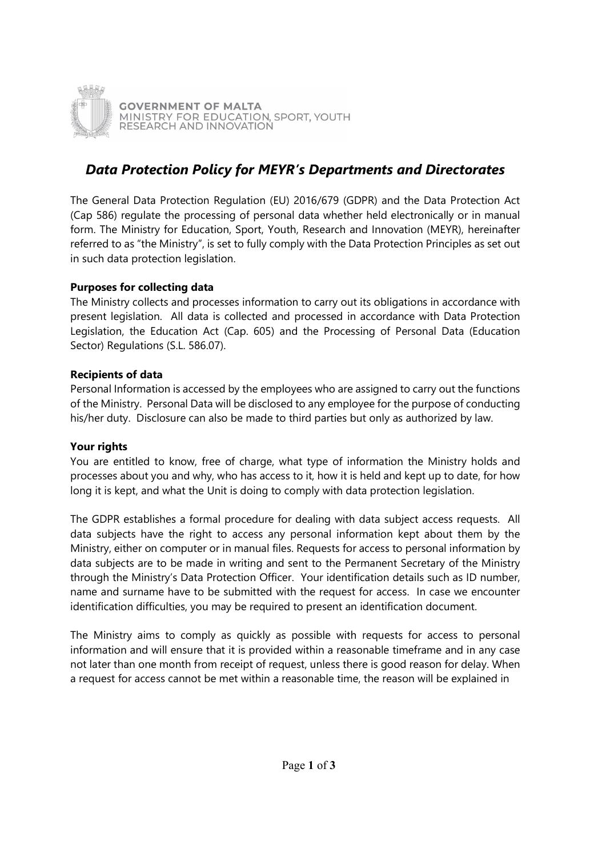

# Data Protection Policy for MEYR's Departments and Directorates

The General Data Protection Regulation (EU) 2016/679 (GDPR) and the Data Protection Act (Cap 586) regulate the processing of personal data whether held electronically or in manual form. The Ministry for Education, Sport, Youth, Research and Innovation (MEYR), hereinafter referred to as "the Ministry", is set to fully comply with the Data Protection Principles as set out in such data protection legislation.

## Purposes for collecting data

The Ministry collects and processes information to carry out its obligations in accordance with present legislation. All data is collected and processed in accordance with Data Protection Legislation, the Education Act (Cap. 605) and the Processing of Personal Data (Education Sector) Regulations (S.L. 586.07).

## Recipients of data

Personal Information is accessed by the employees who are assigned to carry out the functions of the Ministry. Personal Data will be disclosed to any employee for the purpose of conducting his/her duty. Disclosure can also be made to third parties but only as authorized by law.

## Your rights

You are entitled to know, free of charge, what type of information the Ministry holds and processes about you and why, who has access to it, how it is held and kept up to date, for how long it is kept, and what the Unit is doing to comply with data protection legislation.

The GDPR establishes a formal procedure for dealing with data subject access requests. All data subjects have the right to access any personal information kept about them by the Ministry, either on computer or in manual files. Requests for access to personal information by data subjects are to be made in writing and sent to the Permanent Secretary of the Ministry through the Ministry's Data Protection Officer. Your identification details such as ID number, name and surname have to be submitted with the request for access. In case we encounter identification difficulties, you may be required to present an identification document.

The Ministry aims to comply as quickly as possible with requests for access to personal information and will ensure that it is provided within a reasonable timeframe and in any case not later than one month from receipt of request, unless there is good reason for delay. When a request for access cannot be met within a reasonable time, the reason will be explained in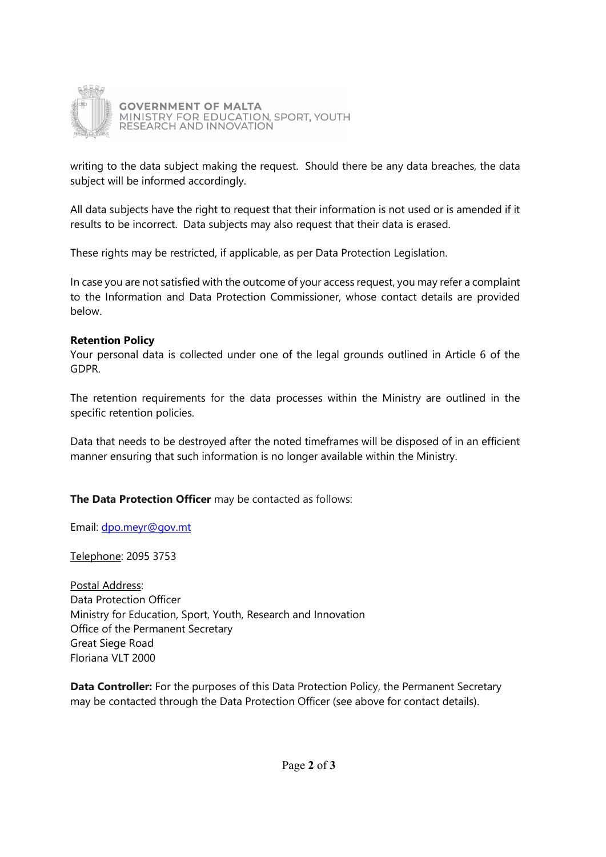

writing to the data subject making the request. Should there be any data breaches, the data subject will be informed accordingly.

All data subjects have the right to request that their information is not used or is amended if it results to be incorrect. Data subjects may also request that their data is erased.

These rights may be restricted, if applicable, as per Data Protection Legislation.

In case you are not satisfied with the outcome of your access request, you may refer a complaint to the Information and Data Protection Commissioner, whose contact details are provided below.

#### Retention Policy

Your personal data is collected under one of the legal grounds outlined in Article 6 of the GDPR.

The retention requirements for the data processes within the Ministry are outlined in the specific retention policies.

Data that needs to be destroyed after the noted timeframes will be disposed of in an efficient manner ensuring that such information is no longer available within the Ministry.

## The Data Protection Officer may be contacted as follows:

Email: dpo.meyr@gov.mt

Telephone: 2095 3753

Postal Address: Data Protection Officer Ministry for Education, Sport, Youth, Research and Innovation Office of the Permanent Secretary Great Siege Road Floriana VLT 2000

Data Controller: For the purposes of this Data Protection Policy, the Permanent Secretary may be contacted through the Data Protection Officer (see above for contact details).